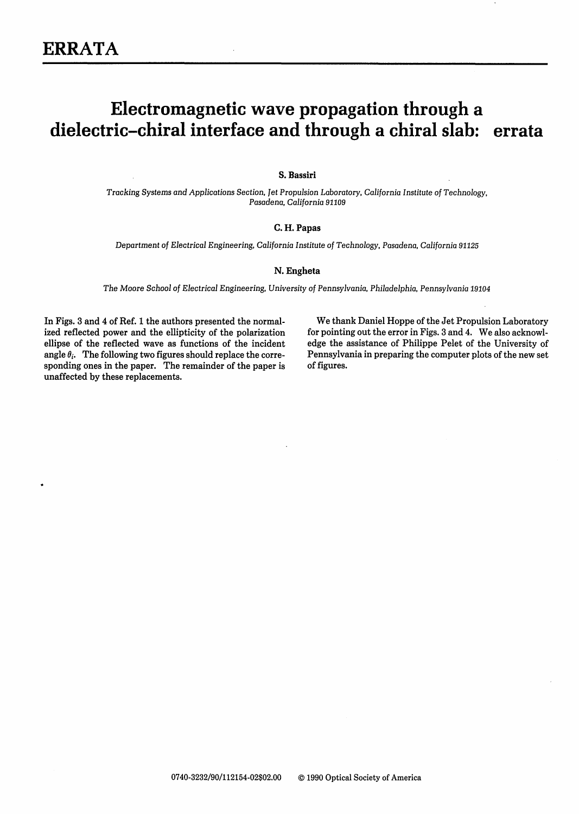# Electromagnetic wave propagation through a dielectric-chiral interface and through a chiral slab: errata

## S. Bassiri

*Tracking Systems and Applications Section, et Propulsion Laboratory, California Institute* of Technology, *Pasadena, California 91109*

#### C. H. Papas

*Department of Electrical Engineering, California Institute of* Technology, Pasadena, California *91125*

#### N. Engheta

*The Moore School of Electrical Engineering, University of Pennsylvania,* Philadelphia, Pennsylvania *19104*

In Figs. 3 and 4 of Ref. 1 the authors presented the normalized reflected power and the ellipticity of the polarization ellipse of the reflected wave as functions of the incident angle  $\theta_i$ . The following two figures should replace the corresponding ones in the paper. The remainder of the paper is unaffected by these replacements.

We thank Daniel Hoppe of the Jet Propulsion Laboratory for pointing out the error in Figs. 3 and 4. We also acknowledge the assistance of Philippe Pelet of the University of Pennsylvania in preparing the computer plots of the new set of figures.